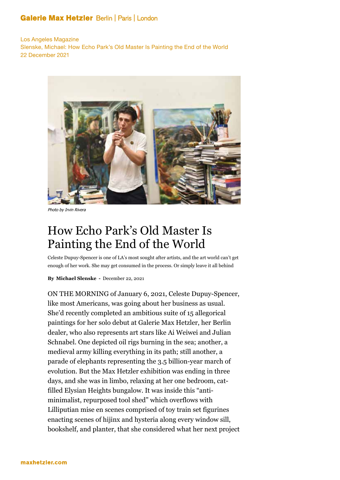## **Galerie Max Hetzler Berlin | Paris | London**

Los Angeles Magazine Slenske, Michael: How Echo Park's Old Master Is Painting the End of the World 22 December 2021



Photo by Irvin Rivera

## How Echo Park's Old Master Is Painting the End of the World

Celeste Dupuy-Spencer is one of LA's most sought after artists, and the art world can't get enough of her work. She may get consumed in the process. Or simply leave it all behind

**By Michael Slenske -** December 22, 2021

ON THE MORNING of January 6, 2021, Celeste Dupuy-Spencer, like most Americans, was going about her business as usual. She'd recently completed an ambitious suite of 15 allegorical paintings for her solo debut at Galerie Max Hetzler, her Berlin dealer, who also represents art stars like Ai Weiwei and Julian Schnabel. One depicted oil rigs burning in the sea; another, a medieval army killing everything in its path; still another, a parade of elephants representing the 3.5 billion-year march of evolution. But the Max Hetzler exhibition was ending in three days, and she was in limbo, relaxing at her one bedroom, catfilled Elysian Heights bungalow. It was inside this "antiminimalist, repurposed tool shed" which overflows with Lilliputian mise en scenes comprised of toy train set figurines enacting scenes of hijinx and hysteria along every window sill, bookshelf, and planter, that she considered what her next project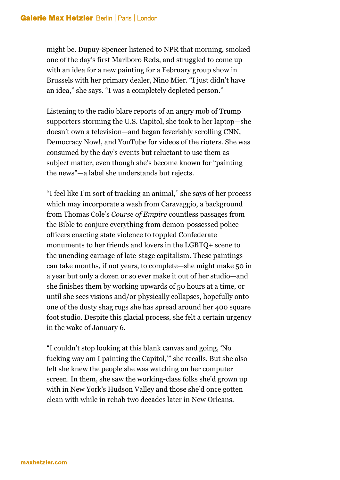might be. Dupuy-Spencer listened to NPR that morning, smoked one of the day's first Marlboro Reds, and struggled to come up with an idea for a new painting for a February group show in Brussels with her primary dealer, Nino Mier. "I just didn't have an idea," she says. "I was a completely depleted person."

Listening to the radio blare reports of an angry mob of Trump supporters storming the U.S. Capitol, she took to her laptop—she doesn't own a television—and began feverishly scrolling CNN, Democracy Now!, and YouTube for videos of the rioters. She was consumed by the day's events but reluctant to use them as subject matter, even though she's become known for "painting the news"—a label she understands but rejects.

"I feel like I'm sort of tracking an animal," she says of her process which may incorporate a wash from Caravaggio, a background from Thomas Cole's *Course of Empire* countless passages from the Bible to conjure everything from demon-possessed police officers enacting state violence to toppled Confederate monuments to her friends and lovers in the LGBTQ+ scene to the unending carnage of late-stage capitalism. These paintings can take months, if not years, to complete—she might make 50 in a year but only a dozen or so ever make it out of her studio—and she finishes them by working upwards of 50 hours at a time, or until she sees visions and/or physically collapses, hopefully onto one of the dusty shag rugs she has spread around her 400 square foot studio. Despite this glacial process, she felt a certain urgency in the wake of January 6.

"I couldn't stop looking at this blank canvas and going, 'No fucking way am I painting the Capitol,'" she recalls. But she also felt she knew the people she was watching on her computer screen. In them, she saw the working-class folks she'd grown up with in New York's Hudson Valley and those she'd once gotten clean with while in rehab two decades later in New Orleans.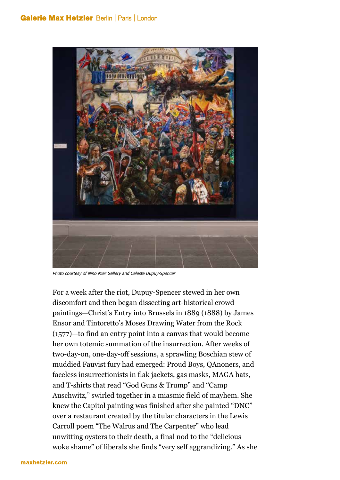## **Galerie Max Hetzler Berlin | Paris | London**



Photo courtesy of Nino Mier Gallery and Celeste Dupuy-Spencer

For a week after the riot, Dupuy-Spencer stewed in her own discomfort and then began dissecting art-historical crowd paintings—Christ's Entry into Brussels in 1889 (1888) by James Ensor and Tintoretto's Moses Drawing Water from the Rock (1577)—to find an entry point into a canvas that would become her own totemic summation of the insurrection. After weeks of two-day-on, one-day-off sessions, a sprawling Boschian stew of muddied Fauvist fury had emerged: Proud Boys, QAnoners, and faceless insurrectionists in flak jackets, gas masks, MAGA hats, and T-shirts that read "God Guns & Trump" and "Camp Auschwitz," swirled together in a miasmic field of mayhem. She knew the Capitol painting was finished after she painted "DNC" over a restaurant created by the titular characters in the Lewis Carroll poem "The Walrus and The Carpenter" who lead unwitting oysters to their death, a final nod to the "delicious woke shame" of liberals she finds "very self aggrandizing." As she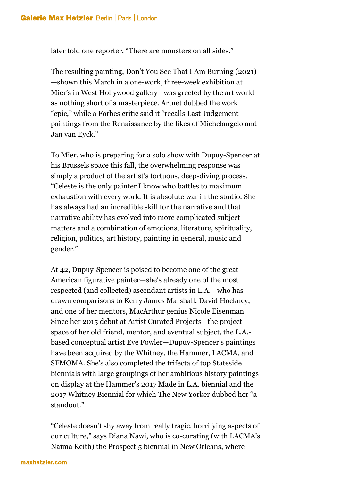later told one reporter, "There are monsters on all sides."

The resulting painting, Don't You See That I Am Burning (2021) —shown this March in a one-work, three-week exhibition at Mier's in West Hollywood gallery—was greeted by the art world as nothing short of a masterpiece. Artnet dubbed the work "epic," while a Forbes critic said it "recalls Last Judgement paintings from the Renaissance by the likes of Michelangelo and Jan van Eyck."

To Mier, who is preparing for a solo show with Dupuy-Spencer at his Brussels space this fall, the overwhelming response was simply a product of the artist's tortuous, deep-diving process. "Celeste is the only painter I know who battles to maximum exhaustion with every work. It is absolute war in the studio. She has always had an incredible skill for the narrative and that narrative ability has evolved into more complicated subject matters and a combination of emotions, literature, spirituality, religion, politics, art history, painting in general, music and gender."

At 42, Dupuy-Spencer is poised to become one of the great American figurative painter—she's already one of the most respected (and collected) ascendant artists in L.A.—who has drawn comparisons to Kerry James Marshall, David Hockney, and one of her mentors, MacArthur genius Nicole Eisenman. Since her 2015 debut at Artist Curated Projects—the project space of her old friend, mentor, and eventual subject, the L.A. based conceptual artist Eve Fowler—Dupuy-Spencer's paintings have been acquired by the Whitney, the Hammer, LACMA, and SFMOMA. She's also completed the trifecta of top Stateside biennials with large groupings of her ambitious history paintings on display at the Hammer's 2017 Made in L.A. biennial and the 2017 Whitney Biennial for which The New Yorker dubbed her "a standout."

"Celeste doesn't shy away from really tragic, horrifying aspects of our culture," says Diana Nawi, who is co-curating (with LACMA's Naima Keith) the Prospect.5 biennial in New Orleans, where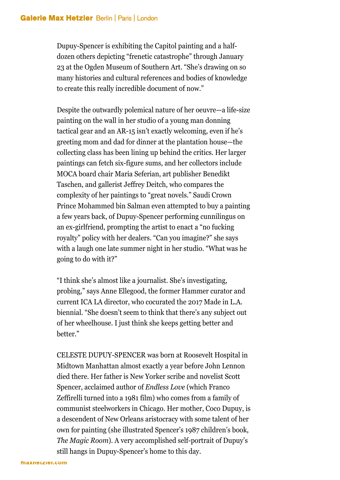Dupuy-Spencer is exhibiting the Capitol painting and a halfdozen others depicting "frenetic catastrophe" through January 23 at the Ogden Museum of Southern Art. "She's drawing on so many histories and cultural references and bodies of knowledge to create this really incredible document of now."

Despite the outwardly polemical nature of her oeuvre—a life-size painting on the wall in her studio of a young man donning tactical gear and an AR-15 isn't exactly welcoming, even if he's greeting mom and dad for dinner at the plantation house—the collecting class has been lining up behind the critics. Her larger paintings can fetch six-figure sums, and her collectors include MOCA board chair Maria Seferian, art publisher Benedikt Taschen, and gallerist Jeffrey Deitch, who compares the complexity of her paintings to "great novels." Saudi Crown Prince Mohammed bin Salman even attempted to buy a painting a few years back, of Dupuy-Spencer performing cunnilingus on an ex-girlfriend, prompting the artist to enact a "no fucking royalty" policy with her dealers. "Can you imagine?" she says with a laugh one late summer night in her studio. "What was he going to do with it?"

"I think she's almost like a journalist. She's investigating, probing," says Anne Ellegood, the former Hammer curator and current ICA LA director, who cocurated the 2017 Made in L.A. biennial. "She doesn't seem to think that there's any subject out of her wheelhouse. I just think she keeps getting better and better."

CELESTE DUPUY-SPENCER was born at Roosevelt Hospital in Midtown Manhattan almost exactly a year before John Lennon died there. Her father is New Yorker scribe and novelist Scott Spencer, acclaimed author of *Endless Love* (which Franco Zeffirelli turned into a 1981 film) who comes from a family of communist steelworkers in Chicago. Her mother, Coco Dupuy, is a descendent of New Orleans aristocracy with some talent of her own for painting (she illustrated Spencer's 1987 children's book, *The Magic Room*). A very accomplished self-portrait of Dupuy's still hangs in Dupuy-Spencer's home to this day.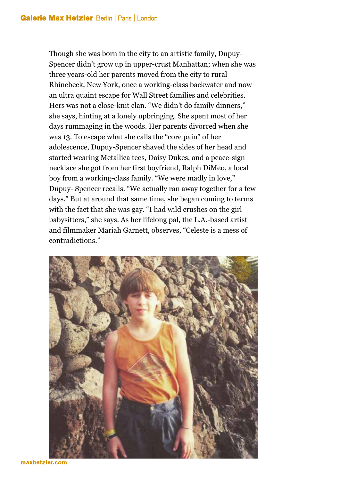Though she was born in the city to an artistic family, Dupuy-Spencer didn't grow up in upper-crust Manhattan; when she was three years-old her parents moved from the city to rural Rhinebeck, New York, once a working-class backwater and now an ultra quaint escape for Wall Street families and celebrities. Hers was not a close-knit clan. "We didn't do family dinners," she says, hinting at a lonely upbringing. She spent most of her days rummaging in the woods. Her parents divorced when she was 13. To escape what she calls the "core pain" of her adolescence, Dupuy-Spencer shaved the sides of her head and started wearing Metallica tees, Daisy Dukes, and a peace-sign necklace she got from her first boyfriend, Ralph DiMeo, a local boy from a working-class family. "We were madly in love," Dupuy- Spencer recalls. "We actually ran away together for a few days." But at around that same time, she began coming to terms with the fact that she was gay. "I had wild crushes on the girl babysitters," she says. As her lifelong pal, the L.A.-based artist and filmmaker Mariah Garnett, observes, "Celeste is a mess of contradictions."



maxhetzler.com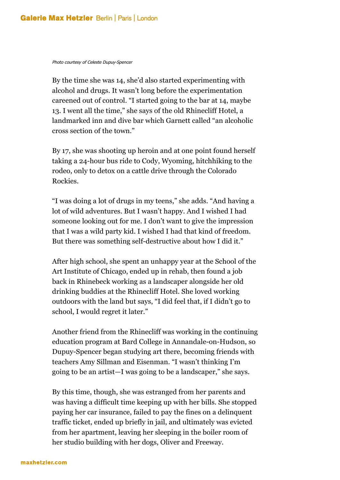Photo courtesy of Celeste Dupuy-Spencer

By the time she was 14, she'd also started experimenting with alcohol and drugs. It wasn't long before the experimentation careened out of control. "I started going to the bar at 14, maybe 13. I went all the time," she says of the old Rhinecliff Hotel, a landmarked inn and dive bar which Garnett called "an alcoholic cross section of the town."

By 17, she was shooting up heroin and at one point found herself taking a 24-hour bus ride to Cody, Wyoming, hitchhiking to the rodeo, only to detox on a cattle drive through the Colorado Rockies.

"I was doing a lot of drugs in my teens," she adds. "And having a lot of wild adventures. But I wasn't happy. And I wished I had someone looking out for me. I don't want to give the impression that I was a wild party kid. I wished I had that kind of freedom. But there was something self-destructive about how I did it."

After high school, she spent an unhappy year at the School of the Art Institute of Chicago, ended up in rehab, then found a job back in Rhinebeck working as a landscaper alongside her old drinking buddies at the Rhinecliff Hotel. She loved working outdoors with the land but says, "I did feel that, if I didn't go to school, I would regret it later."

Another friend from the Rhinecliff was working in the continuing education program at Bard College in Annandale-on-Hudson, so Dupuy-Spencer began studying art there, becoming friends with teachers Amy Sillman and Eisenman. "I wasn't thinking I'm going to be an artist—I was going to be a landscaper," she says.

By this time, though, she was estranged from her parents and was having a difficult time keeping up with her bills. She stopped paying her car insurance, failed to pay the fines on a delinquent traffic ticket, ended up briefly in jail, and ultimately was evicted from her apartment, leaving her sleeping in the boiler room of her studio building with her dogs, Oliver and Freeway.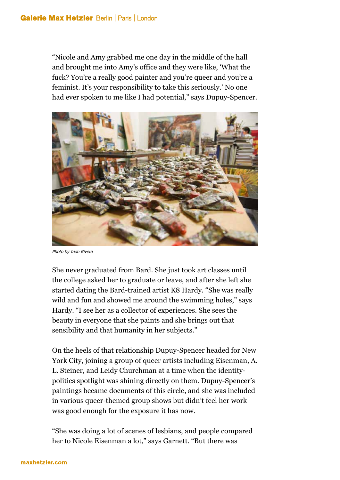"Nicole and Amy grabbed me one day in the middle of the hall and brought me into Amy's office and they were like, 'What the fuck? You're a really good painter and you're queer and you're a feminist. It's your responsibility to take this seriously.' No one had ever spoken to me like I had potential," says Dupuy-Spencer.



Photo by Irvin Rivera

She never graduated from Bard. She just took art classes until the college asked her to graduate or leave, and after she left she started dating the Bard-trained artist K8 Hardy. "She was really wild and fun and showed me around the swimming holes," says Hardy. "I see her as a collector of experiences. She sees the beauty in everyone that she paints and she brings out that sensibility and that humanity in her subjects."

On the heels of that relationship Dupuy-Spencer headed for New York City, joining a group of queer artists including Eisenman, A. L. Steiner, and Leidy Churchman at a time when the identitypolitics spotlight was shining directly on them. Dupuy-Spencer's paintings became documents of this circle, and she was included in various queer-themed group shows but didn't feel her work was good enough for the exposure it has now.

"She was doing a lot of scenes of lesbians, and people compared her to Nicole Eisenman a lot," says Garnett. "But there was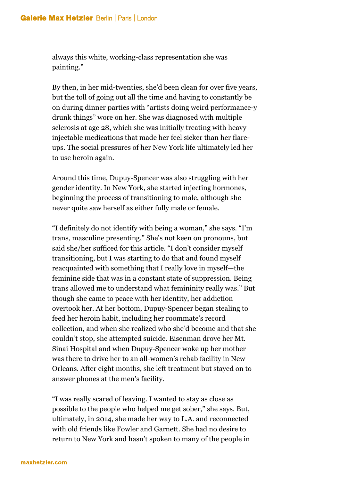always this white, working-class representation she was painting."

By then, in her mid-twenties, she'd been clean for over five years, but the toll of going out all the time and having to constantly be on during dinner parties with "artists doing weird performance-y drunk things" wore on her. She was diagnosed with multiple sclerosis at age 28, which she was initially treating with heavy injectable medications that made her feel sicker than her flareups. The social pressures of her New York life ultimately led her to use heroin again.

Around this time, Dupuy-Spencer was also struggling with her gender identity. In New York, she started injecting hormones, beginning the process of transitioning to male, although she never quite saw herself as either fully male or female.

"I definitely do not identify with being a woman," she says. "I'm trans, masculine presenting." She's not keen on pronouns, but said she/her sufficed for this article. "I don't consider myself transitioning, but I was starting to do that and found myself reacquainted with something that I really love in myself—the feminine side that was in a constant state of suppression. Being trans allowed me to understand what femininity really was." But though she came to peace with her identity, her addiction overtook her. At her bottom, Dupuy-Spencer began stealing to feed her heroin habit, including her roommate's record collection, and when she realized who she'd become and that she couldn't stop, she attempted suicide. Eisenman drove her Mt. Sinai Hospital and when Dupuy-Spencer woke up her mother was there to drive her to an all-women's rehab facility in New Orleans. After eight months, she left treatment but stayed on to answer phones at the men's facility.

"I was really scared of leaving. I wanted to stay as close as possible to the people who helped me get sober," she says. But, ultimately, in 2014, she made her way to L.A. and reconnected with old friends like Fowler and Garnett. She had no desire to return to New York and hasn't spoken to many of the people in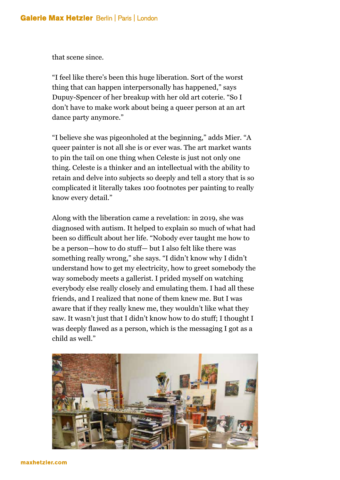that scene since.

"I feel like there's been this huge liberation. Sort of the worst thing that can happen interpersonally has happened," says Dupuy-Spencer of her breakup with her old art coterie. "So I don't have to make work about being a queer person at an art dance party anymore."

"I believe she was pigeonholed at the beginning," adds Mier. "A queer painter is not all she is or ever was. The art market wants to pin the tail on one thing when Celeste is just not only one thing. Celeste is a thinker and an intellectual with the ability to retain and delve into subjects so deeply and tell a story that is so complicated it literally takes 100 footnotes per painting to really know every detail."

Along with the liberation came a revelation: in 2019, she was diagnosed with autism. It helped to explain so much of what had been so difficult about her life. "Nobody ever taught me how to be a person—how to do stuff— but I also felt like there was something really wrong," she says. "I didn't know why I didn't understand how to get my electricity, how to greet somebody the way somebody meets a gallerist. I prided myself on watching everybody else really closely and emulating them. I had all these friends, and I realized that none of them knew me. But I was aware that if they really knew me, they wouldn't like what they saw. It wasn't just that I didn't know how to do stuff; I thought I was deeply flawed as a person, which is the messaging I got as a child as well."

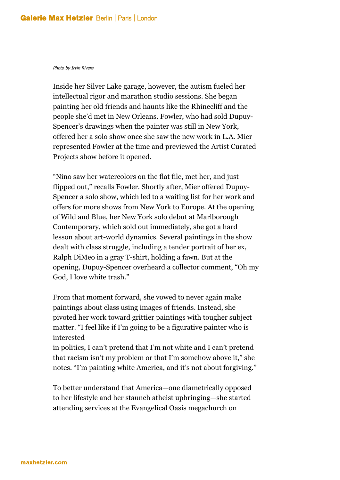## Photo by Irvin Rivera

Inside her Silver Lake garage, however, the autism fueled her intellectual rigor and marathon studio sessions. She began painting her old friends and haunts like the Rhinecliff and the people she'd met in New Orleans. Fowler, who had sold Dupuy-Spencer's drawings when the painter was still in New York, offered her a solo show once she saw the new work in L.A. Mier represented Fowler at the time and previewed the Artist Curated Projects show before it opened.

"Nino saw her watercolors on the flat file, met her, and just flipped out," recalls Fowler. Shortly after, Mier offered Dupuy-Spencer a solo show, which led to a waiting list for her work and offers for more shows from New York to Europe. At the opening of Wild and Blue, her New York solo debut at Marlborough Contemporary, which sold out immediately, she got a hard lesson about art-world dynamics. Several paintings in the show dealt with class struggle, including a tender portrait of her ex, Ralph DiMeo in a gray T-shirt, holding a fawn. But at the opening, Dupuy-Spencer overheard a collector comment, "Oh my God, I love white trash."

From that moment forward, she vowed to never again make paintings about class using images of friends. Instead, she pivoted her work toward grittier paintings with tougher subject matter. "I feel like if I'm going to be a figurative painter who is interested

in politics, I can't pretend that I'm not white and I can't pretend that racism isn't my problem or that I'm somehow above it," she notes. "I'm painting white America, and it's not about forgiving."

To better understand that America—one diametrically opposed to her lifestyle and her staunch atheist upbringing—she started attending services at the Evangelical Oasis megachurch on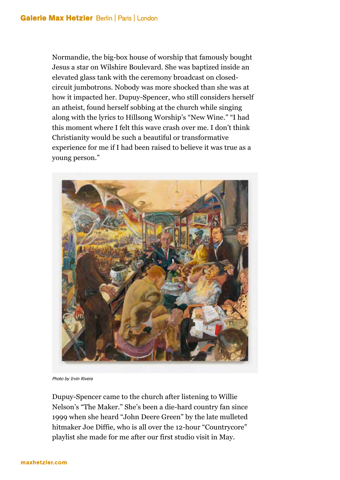Normandie, the big-box house of worship that famously bought Jesus a star on Wilshire Boulevard. She was baptized inside an elevated glass tank with the ceremony broadcast on closedcircuit jumbotrons. Nobody was more shocked than she was at how it impacted her. Dupuy-Spencer, who still considers herself an atheist, found herself sobbing at the church while singing along with the lyrics to Hillsong Worship's "New Wine." "I had this moment where I felt this wave crash over me. I don't think Christianity would be such a beautiful or transformative experience for me if I had been raised to believe it was true as a young person."



Photo by Irvin Rivera

Dupuy-Spencer came to the church after listening to Willie Nelson's "The Maker." She's been a die-hard country fan since 1999 when she heard "John Deere Green" by the late mulleted hitmaker Joe Diffie, who is all over the 12-hour "Countrycore" playlist she made for me after our first studio visit in May.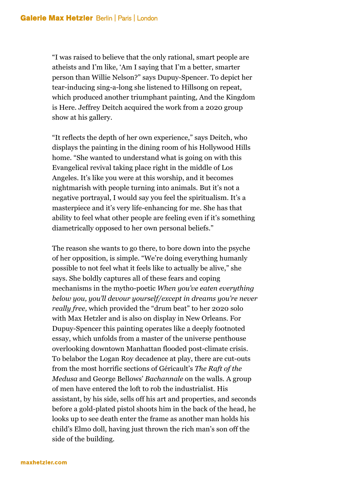"I was raised to believe that the only rational, smart people are atheists and I'm like, 'Am I saying that I'm a better, smarter person than Willie Nelson?" says Dupuy-Spencer. To depict her tear-inducing sing-a-long she listened to Hillsong on repeat, which produced another triumphant painting, And the Kingdom is Here. Jeffrey Deitch acquired the work from a 2020 group show at his gallery.

"It reflects the depth of her own experience," says Deitch, who displays the painting in the dining room of his Hollywood Hills home. "She wanted to understand what is going on with this Evangelical revival taking place right in the middle of Los Angeles. It's like you were at this worship, and it becomes nightmarish with people turning into animals. But it's not a negative portrayal, I would say you feel the spiritualism. It's a masterpiece and it's very life-enhancing for me. She has that ability to feel what other people are feeling even if it's something diametrically opposed to her own personal beliefs."

The reason she wants to go there, to bore down into the psyche of her opposition, is simple. "We're doing everything humanly possible to not feel what it feels like to actually be alive," she says. She boldly captures all of these fears and coping mechanisms in the mytho-poetic *When you've eaten everything below you, you'll devour yourself/except in dreams you're never really free,* which provided the "drum beat" to her 2020 solo with Max Hetzler and is also on display in New Orleans. For Dupuy-Spencer this painting operates like a deeply footnoted essay, which unfolds from a master of the universe penthouse overlooking downtown Manhattan flooded post-climate crisis. To belabor the Logan Roy decadence at play, there are cut-outs from the most horrific sections of Géricault's *The Raft of the Medusa* and George Bellows' *Bachannale* on the walls. A group of men have entered the loft to rob the industrialist. His assistant, by his side, sells off his art and properties, and seconds before a gold-plated pistol shoots him in the back of the head, he looks up to see death enter the frame as another man holds his child's Elmo doll, having just thrown the rich man's son off the side of the building.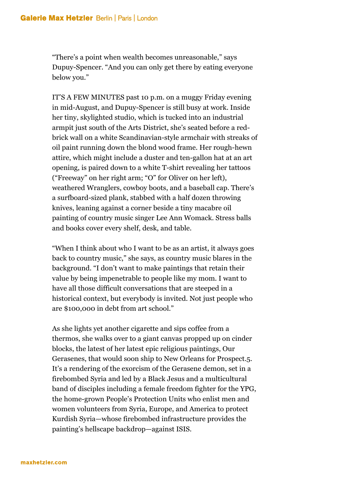"There's a point when wealth becomes unreasonable," says Dupuy-Spencer. "And you can only get there by eating everyone below you."

IT'S A FEW MINUTES past 10 p.m. on a muggy Friday evening in mid-August, and Dupuy-Spencer is still busy at work. Inside her tiny, skylighted studio, which is tucked into an industrial armpit just south of the Arts District, she's seated before a redbrick wall on a white Scandinavian-style armchair with streaks of oil paint running down the blond wood frame. Her rough-hewn attire, which might include a duster and ten-gallon hat at an art opening, is paired down to a white T-shirt revealing her tattoos ("Freeway" on her right arm; "O" for Oliver on her left), weathered Wranglers, cowboy boots, and a baseball cap. There's a surfboard-sized plank, stabbed with a half dozen throwing knives, leaning against a corner beside a tiny macabre oil painting of country music singer Lee Ann Womack. Stress balls and books cover every shelf, desk, and table.

"When I think about who I want to be as an artist, it always goes back to country music," she says, as country music blares in the background. "I don't want to make paintings that retain their value by being impenetrable to people like my mom. I want to have all those difficult conversations that are steeped in a historical context, but everybody is invited. Not just people who are \$100,000 in debt from art school."

As she lights yet another cigarette and sips coffee from a thermos, she walks over to a giant canvas propped up on cinder blocks, the latest of her latest epic religious paintings, Our Gerasenes, that would soon ship to New Orleans for Prospect.5. It's a rendering of the exorcism of the Gerasene demon, set in a firebombed Syria and led by a Black Jesus and a multicultural band of disciples including a female freedom fighter for the YPG, the home-grown People's Protection Units who enlist men and women volunteers from Syria, Europe, and America to protect Kurdish Syria—whose firebombed infrastructure provides the painting's hellscape backdrop—against ISIS.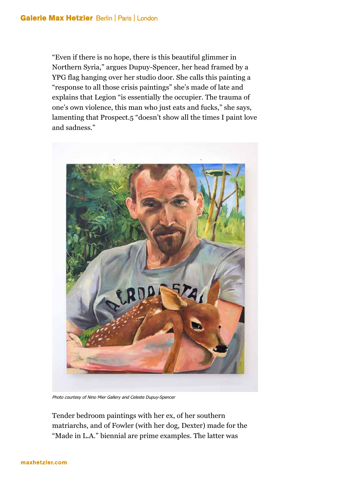"Even if there is no hope, there is this beautiful glimmer in Northern Syria," argues Dupuy-Spencer, her head framed by a YPG flag hanging over her studio door. She calls this painting a "response to all those crisis paintings" she's made of late and explains that Legion "is essentially the occupier. The trauma of one's own violence, this man who just eats and fucks," she says, lamenting that Prospect.5 "doesn't show all the times I paint love and sadness."

![](_page_14_Picture_2.jpeg)

Photo courtesy of Nino Mier Gallery and Celeste Dupuy-Spencer

Tender bedroom paintings with her ex, of her southern matriarchs, and of Fowler (with her dog, Dexter) made for the "Made in L.A." biennial are prime examples. The latter was